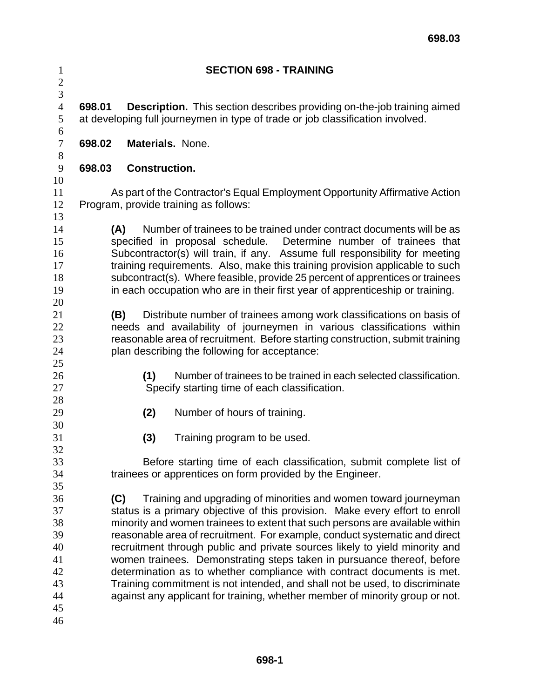| $\mathbf{1}$<br>$\overline{c}$                                 | <b>SECTION 698 - TRAINING</b>                                                                                                                                                                                                                                                                                                                                                                                                                                                                                                                                                                                                                                                                                           |
|----------------------------------------------------------------|-------------------------------------------------------------------------------------------------------------------------------------------------------------------------------------------------------------------------------------------------------------------------------------------------------------------------------------------------------------------------------------------------------------------------------------------------------------------------------------------------------------------------------------------------------------------------------------------------------------------------------------------------------------------------------------------------------------------------|
| 3<br>$\overline{4}$<br>5<br>6                                  | <b>Description.</b> This section describes providing on-the-job training aimed<br>698.01<br>at developing full journeymen in type of trade or job classification involved.                                                                                                                                                                                                                                                                                                                                                                                                                                                                                                                                              |
| $\boldsymbol{7}$<br>$8\,$                                      | 698.02<br><b>Materials. None.</b>                                                                                                                                                                                                                                                                                                                                                                                                                                                                                                                                                                                                                                                                                       |
| $\overline{9}$<br>10                                           | 698.03<br><b>Construction.</b>                                                                                                                                                                                                                                                                                                                                                                                                                                                                                                                                                                                                                                                                                          |
| 11<br>12<br>13                                                 | As part of the Contractor's Equal Employment Opportunity Affirmative Action<br>Program, provide training as follows:                                                                                                                                                                                                                                                                                                                                                                                                                                                                                                                                                                                                    |
| 14<br>15<br>16<br>17<br>18<br>19<br>20                         | Number of trainees to be trained under contract documents will be as<br>(A)<br>specified in proposal schedule. Determine number of trainees that<br>Subcontractor(s) will train, if any. Assume full responsibility for meeting<br>training requirements. Also, make this training provision applicable to such<br>subcontract(s). Where feasible, provide 25 percent of apprentices or trainees<br>in each occupation who are in their first year of apprenticeship or training.                                                                                                                                                                                                                                       |
| 21<br>22<br>23<br>24                                           | Distribute number of trainees among work classifications on basis of<br>(B)<br>needs and availability of journeymen in various classifications within<br>reasonable area of recruitment. Before starting construction, submit training<br>plan describing the following for acceptance:                                                                                                                                                                                                                                                                                                                                                                                                                                 |
| 25<br>26<br>27<br>28                                           | Number of trainees to be trained in each selected classification.<br>(1)<br>Specify starting time of each classification.                                                                                                                                                                                                                                                                                                                                                                                                                                                                                                                                                                                               |
| 29<br>30                                                       | (2)<br>Number of hours of training.                                                                                                                                                                                                                                                                                                                                                                                                                                                                                                                                                                                                                                                                                     |
| 31<br>32                                                       | (3)<br>Training program to be used.                                                                                                                                                                                                                                                                                                                                                                                                                                                                                                                                                                                                                                                                                     |
| 33<br>34<br>35                                                 | Before starting time of each classification, submit complete list of<br>trainees or apprentices on form provided by the Engineer.                                                                                                                                                                                                                                                                                                                                                                                                                                                                                                                                                                                       |
| 36<br>37<br>38<br>39<br>40<br>41<br>42<br>43<br>44<br>45<br>46 | Training and upgrading of minorities and women toward journeyman<br>(C)<br>status is a primary objective of this provision. Make every effort to enroll<br>minority and women trainees to extent that such persons are available within<br>reasonable area of recruitment. For example, conduct systematic and direct<br>recruitment through public and private sources likely to yield minority and<br>women trainees. Demonstrating steps taken in pursuance thereof, before<br>determination as to whether compliance with contract documents is met.<br>Training commitment is not intended, and shall not be used, to discriminate<br>against any applicant for training, whether member of minority group or not. |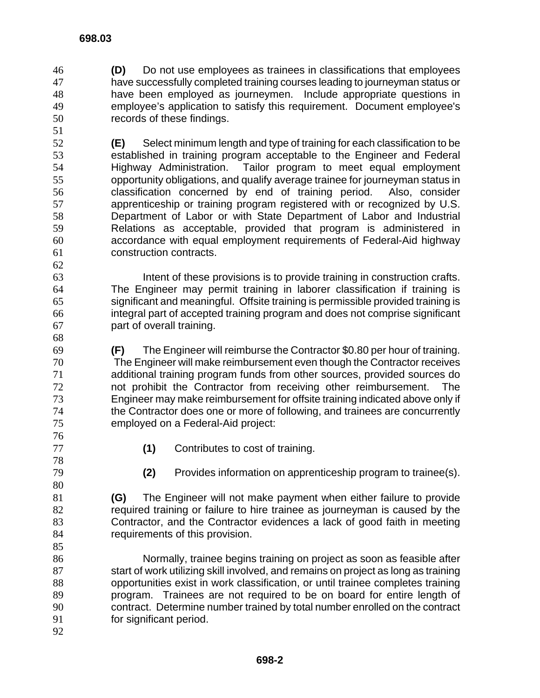- **(D)** Do not use employees as trainees in classifications that employees have successfully completed training courses leading to journeyman status or have been employed as journeymen. Include appropriate questions in employee's application to satisfy this requirement. Document employee's records of these findings.
- **(E)** Select minimum length and type of training for each classification to be established in training program acceptable to the Engineer and Federal Highway Administration. Tailor program to meet equal employment opportunity obligations, and qualify average trainee for journeyman status in classification concerned by end of training period. Also, consider apprenticeship or training program registered with or recognized by U.S. Department of Labor or with State Department of Labor and Industrial Relations as acceptable, provided that program is administered in accordance with equal employment requirements of Federal-Aid highway construction contracts.

Intent of these provisions is to provide training in construction crafts. The Engineer may permit training in laborer classification if training is significant and meaningful. Offsite training is permissible provided training is integral part of accepted training program and does not comprise significant part of overall training.

**(F)** The Engineer will reimburse the Contractor \$0.80 per hour of training. The Engineer will make reimbursement even though the Contractor receives additional training program funds from other sources, provided sources do not prohibit the Contractor from receiving other reimbursement. The Engineer may make reimbursement for offsite training indicated above only if the Contractor does one or more of following, and trainees are concurrently employed on a Federal-Aid project: 

- **(1)** Contributes to cost of training.
- 

**(2)** Provides information on apprenticeship program to trainee(s).

**(G)** The Engineer will not make payment when either failure to provide required training or failure to hire trainee as journeyman is caused by the Contractor, and the Contractor evidences a lack of good faith in meeting requirements of this provision.

Normally, trainee begins training on project as soon as feasible after 87 start of work utilizing skill involved, and remains on project as long as training opportunities exist in work classification, or until trainee completes training program. Trainees are not required to be on board for entire length of contract. Determine number trained by total number enrolled on the contract for significant period. 

 **698-2**